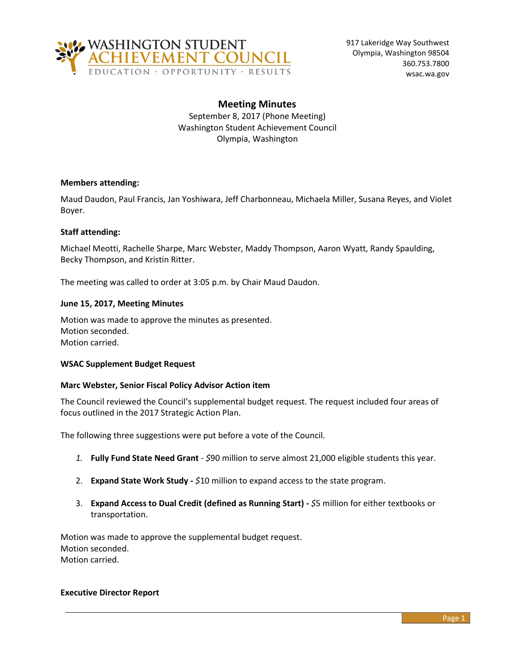

917 Lakeridge Way Southwest Olympia, Washington 98504 360.753.7800 wsac.wa.gov

# **Meeting Minutes**

September 8, 2017 (Phone Meeting) Washington Student Achievement Council Olympia, Washington

### **Members attending:**

Maud Daudon, Paul Francis, Jan Yoshiwara, Jeff Charbonneau, Michaela Miller, Susana Reyes, and Violet Boyer.

### **Staff attending:**

Michael Meotti, Rachelle Sharpe, Marc Webster, Maddy Thompson, Aaron Wyatt, Randy Spaulding, Becky Thompson, and Kristin Ritter.

The meeting was called to order at 3:05 p.m. by Chair Maud Daudon.

## **June 15, 2017, Meeting Minutes**

Motion was made to approve the minutes as presented. Motion seconded. Motion carried.

### **WSAC Supplement Budget Request**

### **Marc Webster, Senior Fiscal Policy Advisor Action item**

The Council reviewed the Council's supplemental budget request. The request included four areas of focus outlined in the 2017 Strategic Action Plan.

The following three suggestions were put before a vote of the Council.

- *1.* **Fully Fund State Need Grant** *- \$*90 million to serve almost 21,000 eligible students this year.
- 2. **Expand State Work Study -** *\$*10 million to expand access to the state program.
- 3. **Expand Access to Dual Credit (defined as Running Start)** *- \$*5 million for either textbooks or transportation.

Motion was made to approve the supplemental budget request. Motion seconded. Motion carried.

#### **Executive Director Report**